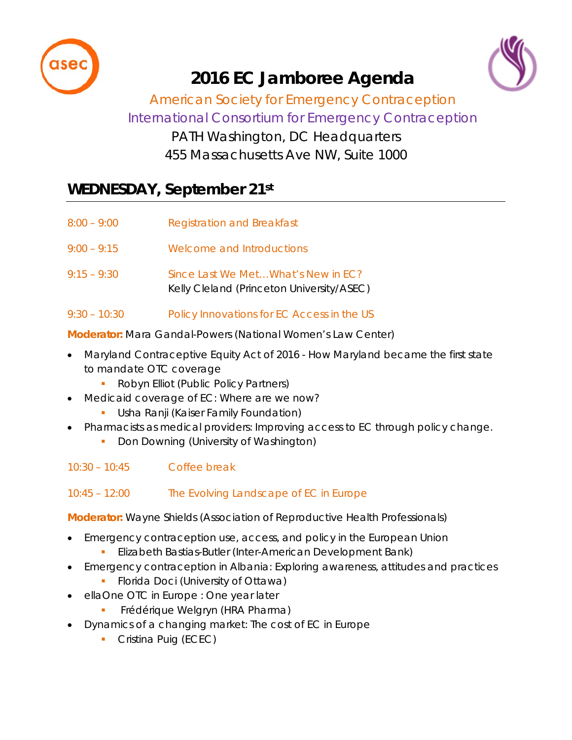



# **2016 EC Jamboree Agenda**

### *American Society for Emergency Contraception International Consortium for Emergency Contraception* PATH Washington, DC Headquarters 455 Massachusetts Ave NW, Suite 1000

## **WEDNESDAY, September 21st**

| $8:00 - 9:00$  | Registration and Breakfast                                                      |
|----------------|---------------------------------------------------------------------------------|
| $9:00 - 9:15$  | Welcome and Introductions                                                       |
| $9:15 - 9:30$  | Since Last We MetWhat's New in EC?<br>Kelly Cleland (Princeton University/ASEC) |
| $9:30 - 10:30$ | Policy Innovations for EC Access in the US                                      |

**Moderator:** Mara Gandal-Powers *(National Women's Law Center)*

- Maryland Contraceptive Equity Act of 2016 How Maryland became the first state to mandate OTC coverage
	- Robyn Elliot *(Public Policy Partners)*
	- Medicaid coverage of EC: Where are we now?
		- Usha Ranji *(Kaiser Family Foundation)*
- Pharmacists as medical providers: Improving access to EC through policy change.
	- Don Downing *(University of Washington)*
- 10:30 10:45 Coffee break

10:45 – 12:00 The Evolving Landscape of EC in Europe

**Moderator:** Wayne Shields *(Association of Reproductive Health Professionals)*

- Emergency contraception use, access, and policy in the European Union
	- Elizabeth Bastias-Butler *(Inter-American Development Bank)*
- Emergency contraception in Albania: Exploring awareness, attitudes and practices
	- Florida Doci *(University of Ottawa)*
- ellaOne OTC in Europe : One year later
	- Frédérique Welgryn *(HRA Pharma)*
- Dynamics of a changing market: The cost of EC in Europe
	- Cristina Puig *(ECEC)*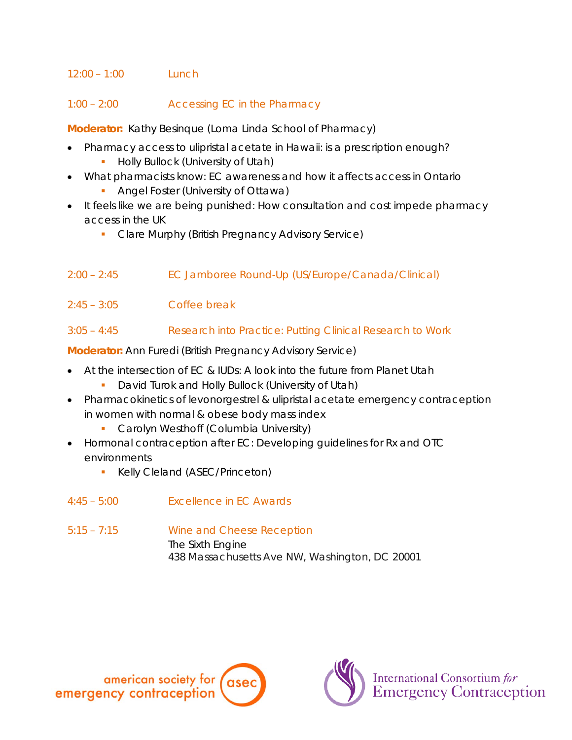#### $12:00 - 1:00$  Lunch

#### 1:00 – 2:00 Accessing EC in the Pharmacy

**Moderator:** Kathy Besinque *(Loma Linda School of Pharmacy)*

- Pharmacy access to ulipristal acetate in Hawaii: is a prescription enough?
	- Holly Bullock *(University of Utah)*
- What pharmacists know: EC awareness and how it affects access in Ontario
	- Angel Foster *(University of Ottawa)*
- It feels like we are being punished: How consultation and cost impede pharmacy access in the UK
	- Clare Murphy *(British Pregnancy Advisory Service)*
- 2:00 2:45 EC Jamboree Round-Up (US/Europe/Canada/Clinical)
- 2:45 3:05 Coffee break

#### 3:05 – 4:45 Research into Practice: Putting Clinical Research to Work

**Moderator:** Ann Furedi *(British Pregnancy Advisory Service)*

- At the intersection of EC & IUDs: A look into the future from Planet Utah
	- David Turok and Holly Bullock *(University of Utah)*
- Pharmacokinetics of levonorgestrel & ulipristal acetate emergency contraception in women with normal & obese body mass index
	- Carolyn Westhoff *(Columbia University)*
- Hormonal contraception after EC: Developing guidelines for Rx and OTC environments
	- Kelly Cleland *(ASEC/Princeton)*
- 4:45 5:00 Excellence in EC Awards
- 5:15 7:15 Wine and Cheese Reception The Sixth Engine 438 Massachusetts Ave NW, Washington, DC 20001



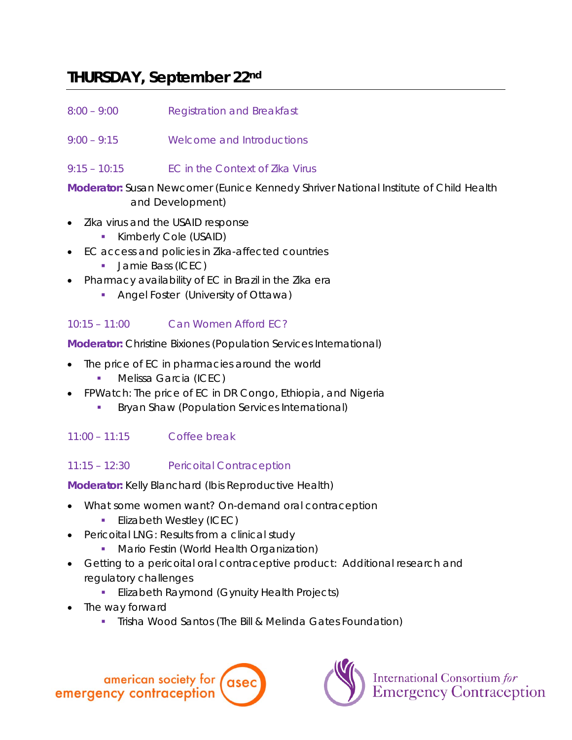### **THURSDAY, September 22nd**

- 8:00 9:00 Registration and Breakfast
- 9:00 9:15 Welcome and Introductions
- 9:15 10:15 EC in the Context of Zika Virus

**Moderator:** Susan Newcomer *(Eunice Kennedy Shriver National Institute of Child Health and Development)*

- Zika virus and the USAID response
	- Kimberly Cole *(USAID)*
- EC access and policies in Zika-affected countries
	- Jamie Bass *(ICEC)*
- Pharmacy availability of EC in Brazil in the Zika era
	- Angel Foster *(University of Ottawa)*

#### 10:15 – 11:00 Can Women Afford EC?

**Moderator:** Christine Bixiones *(Population Services International)*

- The price of EC in pharmacies around the world
	- Melissa Garcia *(ICEC)*
- FPWatch: The price of EC in DR Congo, Ethiopia, and Nigeria
	- Bryan Shaw *(Population Services International)*

#### 11:00 – 11:15 Coffee break

11:15 – 12:30 Pericoital Contraception

**Moderator:** Kelly Blanchard *(Ibis Reproductive Health)*

- What some women want? On-demand oral contraception
	- Elizabeth Westley *(ICEC)*
- Pericoital LNG: Results from a clinical study
	- Mario Festin *(World Health Organization)*
- Getting to a pericoital oral contraceptive product: Additional research and regulatory challenges
	- Elizabeth Raymond *(Gynuity Health Projects)*
- The way forward
	- Trisha Wood Santos *(The Bill & Melinda Gates Foundation)*





International Consortium for<br>Emergency Contraception